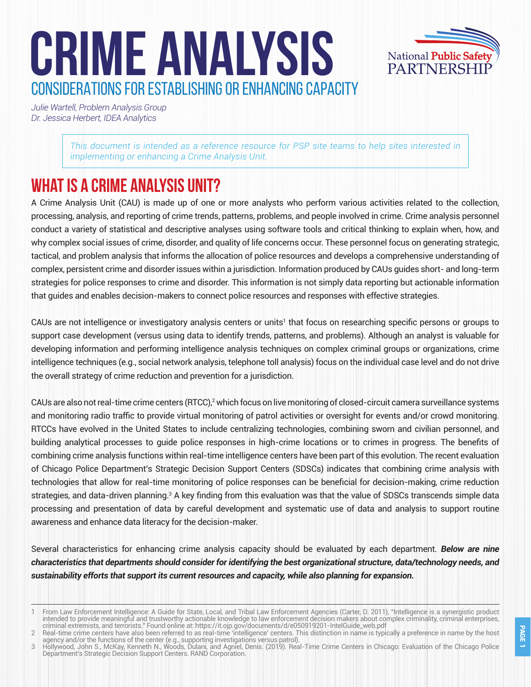# **CRIME ANALYSIS** CONSIDERATIONS FOR ESTABLISHING OR ENHANCING CAPACITY



*Julie Wartell, Problem Analysis Group Dr. Jessica Herbert, IDEA Analytics* 

> *This document is intended as a reference resource for PSP site teams to help sites interested in implementing or enhancing a Crime Analysis Unit.*

## **What is a Crime Analysis Unit?**

A Crime Analysis Unit (CAU) is made up of one or more analysts who perform various activities related to the collection, processing, analysis, and reporting of crime trends, patterns, problems, and people involved in crime. Crime analysis personnel conduct a variety of statistical and descriptive analyses using software tools and critical thinking to explain when, how, and why complex social issues of crime, disorder, and quality of life concerns occur. These personnel focus on generating strategic, tactical, and problem analysis that informs the allocation of police resources and develops a comprehensive understanding of complex, persistent crime and disorder issues within a jurisdiction. Information produced by CAUs guides short- and long-term strategies for police responses to crime and disorder. This information is not simply data reporting but actionable information that guides and enables decision-makers to connect police resources and responses with effective strategies.

CAUs are not intelligence or investigatory analysis centers or units' that focus on researching specific persons or groups to support case development (versus using data to identify trends, patterns, and problems). Although an analyst is valuable for developing information and performing intelligence analysis techniques on complex criminal groups or organizations, crime intelligence techniques (e.g., social network analysis, telephone toll analysis) focus on the individual case level and do not drive the overall strategy of crime reduction and prevention for a jurisdiction.

CAUs are also not real-time crime centers (RTCC),<sup>2</sup> which focus on live monitoring of closed-circuit camera surveillance systems and monitoring radio traffic to provide virtual monitoring of patrol activities or oversight for events and/or crowd monitoring. RTCCs have evolved in the United States to include centralizing technologies, combining sworn and civilian personnel, and building analytical processes to guide police responses in high-crime locations or to crimes in progress. The benefits of combining crime analysis functions within real-time intelligence centers have been part of this evolution. The recent evaluation of Chicago Police Department's Strategic Decision Support Centers (SDSCs) indicates that combining crime analysis with technologies that allow for real-time monitoring of police responses can be beneficial for decision-making, crime reduction strategies, and data-driven planning.<sup>3</sup> A key finding from this evaluation was that the value of SDSCs transcends simple data processing and presentation of data by careful development and systematic use of data and analysis to support routine awareness and enhance data literacy for the decision-maker.

Several characteristics for enhancing crime analysis capacity should be evaluated by each department. *Below are nine characteristics that departments should consider for identifying the best organizational structure, data/technology needs, and sustainability efforts that support its current resources and capacity, while also planning for expansion.* 

<sup>1</sup> From Law Enforcement Intelligence: A Guide for State, Local, and Tribal Law Enforcement Agencies (Carter, D. 2011), "Intelligence is a synergistic product intended to provide meaningful and trustworthy actionable knowledge to law enforcement decision makers about complex criminality, criminal enterprises, criminal extremists, and terrorists." Found online at: https://it.ojp.gov/documents/d/e050919201-IntelGuide\_web.pdf

<sup>2</sup> Real-time crime centers have also been referred to as real-time 'intelligence' centers. This distinction in name is typically a preference in name by the host agency and/or the functions of the center (e.g., supporting investigations versus patrol).

<sup>3</sup> Hollywood, John S., McKay, Kenneth N., Woods, Dulani, and Agniel, Denis. (2019). Real-Time Crime Centers in Chicago: Evaluation of the Chicago Police Department's Strategic Decision Support Centers. RAND Corporation.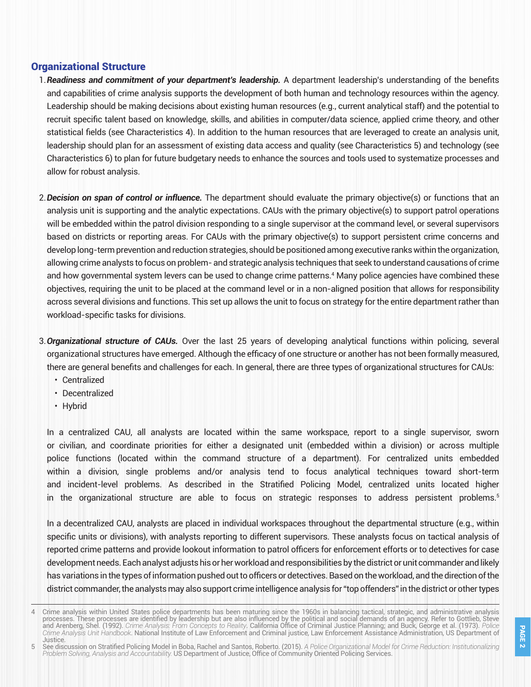### Organizational Structure

- 1.*Readiness and commitment of your department's leadership.* A department leadership's understanding of the benefits and capabilities of crime analysis supports the development of both human and technology resources within the agency. Leadership should be making decisions about existing human resources (e.g., current analytical staff) and the potential to recruit specific talent based on knowledge, skills, and abilities in computer/data science, applied crime theory, and other statistical fields (see Characteristics 4). In addition to the human resources that are leveraged to create an analysis unit, leadership should plan for an assessment of existing data access and quality (see Characteristics 5) and technology (see Characteristics 6) to plan for future budgetary needs to enhance the sources and tools used to systematize processes and allow for robust analysis.
- 2.*Decision on span of control or influence.* The department should evaluate the primary objective(s) or functions that an analysis unit is supporting and the analytic expectations. CAUs with the primary objective(s) to support patrol operations will be embedded within the patrol division responding to a single supervisor at the command level, or several supervisors based on districts or reporting areas. For CAUs with the primary objective(s) to support persistent crime concerns and develop long-term prevention and reduction strategies, should be positioned among executive ranks within the organization, allowing crime analysts to focus on problem- and strategic analysis techniques that seek to understand causations of crime and how governmental system levers can be used to change crime patterns.<sup>4</sup> Many police agencies have combined these objectives, requiring the unit to be placed at the command level or in a non-aligned position that allows for responsibility across several divisions and functions. This set up allows the unit to focus on strategy for the entire department rather than workload-specific tasks for divisions.
- 3.*Organizational structure of CAUs.* Over the last 25 years of developing analytical functions within policing, several organizational structures have emerged. Although the efficacy of one structure or another has not been formally measured, there are general benefits and challenges for each. In general, there are three types of organizational structures for CAUs:
	- Centralized
	- Decentralized
	- Hybrid

In a centralized CAU, all analysts are located within the same workspace, report to a single supervisor, sworn or civilian, and coordinate priorities for either a designated unit (embedded within a division) or across multiple police functions (located within the command structure of a department). For centralized units embedded within a division, single problems and/or analysis tend to focus analytical techniques toward short-term and incident-level problems. As described in the Stratified Policing Model, centralized units located higher in the organizational structure are able to focus on strategic responses to address persistent problems.<sup>5</sup>

In a decentralized CAU, analysts are placed in individual workspaces throughout the departmental structure (e.g., within specific units or divisions), with analysts reporting to different supervisors. These analysts focus on tactical analysis of reported crime patterns and provide lookout information to patrol officers for enforcement efforts or to detectives for case development needs. Each analyst adjusts his or her workload and responsibilities by the district or unit commander and likely has variations in the types of information pushed out to officers or detectives. Based on the workload, and the direction of the district commander, the analysts may also support crime intelligence analysis for "top offenders" in the district or other types

<sup>4</sup> Crime analysis within United States police departments has been maturing since the 1960s in balancing tactical, strategic, and administrative analysis processes. These processes are identified by leadership but are also influenced by the political and social demands of an agency. Refer to Gottlieb, Steve and Arenberg, Shel. (1992). *Crime Analysis: From Concepts to Reality*. California Office of Criminal Justice Planning; and Buck, George et al. (1973). *Police Crime Analysis Unit Handbook*. National Institute of Law Enforcement and Criminal justice, Law Enforcement Assistance Administration, US Department of Justice.

<sup>5</sup> See discussion on Stratified Policing Model in Boba, Rachel and Santos, Roberto. (2015). *A Police Organizational Model for Crime Reduction: Institutionalizing Problem Solving, Analysis and Accountability.* US Department of Justice, Office of Community Oriented Policing Services.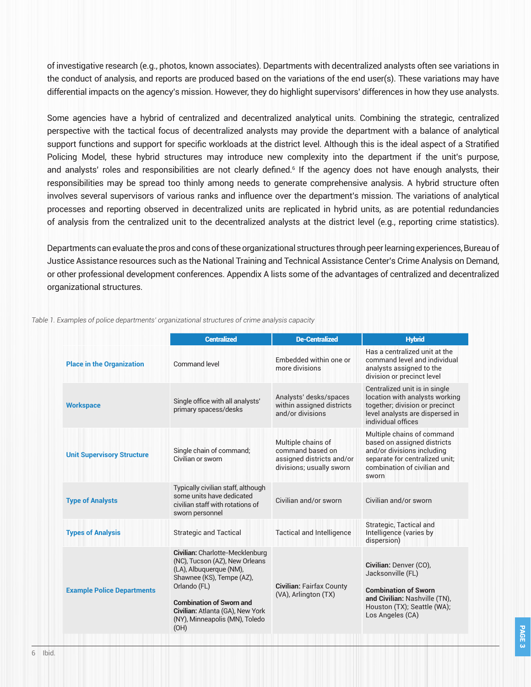of investigative research (e.g., photos, known associates). Departments with decentralized analysts often see variations in the conduct of analysis, and reports are produced based on the variations of the end user(s). These variations may have differential impacts on the agency's mission. However, they do highlight supervisors' differences in how they use analysts.

Some agencies have a hybrid of centralized and decentralized analytical units. Combining the strategic, centralized perspective with the tactical focus of decentralized analysts may provide the department with a balance of analytical support functions and support for specific workloads at the district level. Although this is the ideal aspect of a Stratified Policing Model, these hybrid structures may introduce new complexity into the department if the unit's purpose, and analysts' roles and responsibilities are not clearly defined.<sup>6</sup> If the agency does not have enough analysts, their responsibilities may be spread too thinly among needs to generate comprehensive analysis. A hybrid structure often involves several supervisors of various ranks and influence over the department's mission. The variations of analytical processes and reporting observed in decentralized units are replicated in hybrid units, as are potential redundancies of analysis from the centralized unit to the decentralized analysts at the district level (e.g., reporting crime statistics).

Departments can evaluate the pros and cons of these organizational structures through peer learning experiences, Bureau of Justice Assistance resources such as the National Training and Technical Assistance Center's Crime Analysis on Demand, or other professional development conferences. Appendix A lists some of the advantages of centralized and decentralized organizational structures.

|                                   | <b>Centralized</b>                                                                                                                                                                                                                                         | <b>De-Centralized</b>                                                                           | <b>Hybrid</b>                                                                                                                                                     |
|-----------------------------------|------------------------------------------------------------------------------------------------------------------------------------------------------------------------------------------------------------------------------------------------------------|-------------------------------------------------------------------------------------------------|-------------------------------------------------------------------------------------------------------------------------------------------------------------------|
| <b>Place in the Organization</b>  | Command level                                                                                                                                                                                                                                              | Embedded within one or<br>more divisions                                                        | Has a centralized unit at the<br>command level and individual<br>analysts assigned to the<br>division or precinct level                                           |
| <b>Workspace</b>                  | Single office with all analysts'<br>primary spacess/desks                                                                                                                                                                                                  | Analysts' desks/spaces<br>within assigned districts<br>and/or divisions                         | Centralized unit is in single<br>location with analysts working<br>together, division or precinct<br>level analysts are dispersed in<br>individual offices        |
| <b>Unit Supervisory Structure</b> | Single chain of command;<br>Civilian or sworn                                                                                                                                                                                                              | Multiple chains of<br>command based on<br>assigned districts and/or<br>divisions; usually sworn | Multiple chains of command<br>based on assigned districts<br>and/or divisions including<br>separate for centralized unit;<br>combination of civilian and<br>sworn |
| <b>Type of Analysts</b>           | Typically civilian staff, although<br>some units have dedicated<br>civilian staff with rotations of<br>sworn personnel                                                                                                                                     | Civilian and/or sworn                                                                           | Civilian and/or sworn                                                                                                                                             |
| <b>Types of Analysis</b>          | <b>Strategic and Tactical</b>                                                                                                                                                                                                                              | <b>Tactical and Intelligence</b>                                                                | Strategic, Tactical and<br>Intelligence (varies by<br>dispersion)                                                                                                 |
| <b>Example Police Departments</b> | Civilian: Charlotte-Mecklenburg<br>(NC), Tucson (AZ), New Orleans<br>(LA), Albuquerque (NM),<br>Shawnee (KS), Tempe (AZ),<br>Orlando (FL)<br><b>Combination of Sworn and</b><br>Civilian: Atlanta (GA), New York<br>(NY), Minneapolis (MN), Toledo<br>(OH) | <b>Civilian: Fairfax County</b><br>(VA), Arlington (TX)                                         | Civilian: Denver (CO),<br>Jacksonville (FL)<br><b>Combination of Sworn</b><br>and Civilian: Nashville (TN),<br>Houston (TX); Seattle (WA);<br>Los Angeles (CA)    |

*Table 1. Examples of police departments' organizational structures of crime analysis capacity*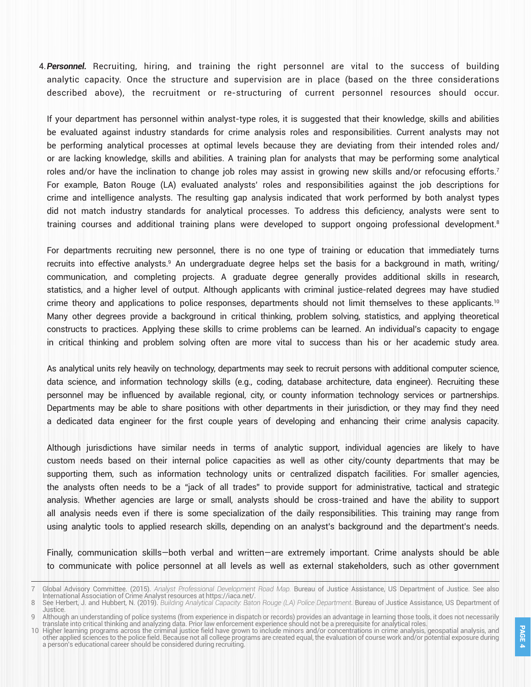4.*Personnel.* Recruiting, hiring, and training the right personnel are vital to the success of building analytic capacity. Once the structure and supervision are in place (based on the three considerations described above), the recruitment or re-structuring of current personnel resources should occur.

If your department has personnel within analyst-type roles, it is suggested that their knowledge, skills and abilities be evaluated against industry standards for crime analysis roles and responsibilities. Current analysts may not be performing analytical processes at optimal levels because they are deviating from their intended roles and/ or are lacking knowledge, skills and abilities. A training plan for analysts that may be performing some analytical roles and/or have the inclination to change job roles may assist in growing new skills and/or refocusing efforts.<sup>7</sup> For example, Baton Rouge (LA) evaluated analysts' roles and responsibilities against the job descriptions for crime and intelligence analysts. The resulting gap analysis indicated that work performed by both analyst types did not match industry standards for analytical processes. To address this deficiency, analysts were sent to training courses and additional training plans were developed to support ongoing professional development.8

For departments recruiting new personnel, there is no one type of training or education that immediately turns recruits into effective analysts.<sup>9</sup> An undergraduate degree helps set the basis for a background in math, writing/ communication, and completing projects. A graduate degree generally provides additional skills in research, statistics, and a higher level of output. Although applicants with criminal justice-related degrees may have studied crime theory and applications to police responses, departments should not limit themselves to these applicants.<sup>10</sup> Many other degrees provide a background in critical thinking, problem solving, statistics, and applying theoretical constructs to practices. Applying these skills to crime problems can be learned. An individual's capacity to engage in critical thinking and problem solving often are more vital to success than his or her academic study area.

As analytical units rely heavily on technology, departments may seek to recruit persons with additional computer science, data science, and information technology skills (e.g., coding, database architecture, data engineer). Recruiting these personnel may be influenced by available regional, city, or county information technology services or partnerships. Departments may be able to share positions with other departments in their jurisdiction, or they may find they need a dedicated data engineer for the first couple years of developing and enhancing their crime analysis capacity.

Although jurisdictions have similar needs in terms of analytic support, individual agencies are likely to have custom needs based on their internal police capacities as well as other city/county departments that may be supporting them, such as information technology units or centralized dispatch facilities. For smaller agencies, the analysts often needs to be a "jack of all trades" to provide support for administrative, tactical and strategic analysis. Whether agencies are large or small, analysts should be cross-trained and have the ability to support all analysis needs even if there is some specialization of the daily responsibilities. This training may range from using analytic tools to applied research skills, depending on an analyst's background and the department's needs.

Finally, communication skills—both verbal and written—are extremely important. Crime analysts should be able to communicate with police personnel at all levels as well as external stakeholders, such as other government

<sup>7</sup> Global Advisory Committee. (2015). *Analyst Professional Development Road Map.* Bureau of Justice Assistance, US Department of Justice. See also International Association of Crime Analyst resources at https://iaca.net/.

See Herbert, J. and Hubbert, N. (2019). *Building Analytical Capacity: Baton Rouge (LA) Police Department*. Bureau of Justice Assistance, US Department of Justice.

Although an understanding of police systems (from experience in dispatch or records) provides an advantage in learning those tools, it does not necessarily translate into critical thinking and analyzing data. Prior law enforcement experience should not be a prerequisite for analytical roles.

<sup>10</sup> Higher learning programs across the criminal justice field have grown to include minors and/or concentrations in crime analysis, geospatial analysis, and other applied sciences to the police field. Because not all college programs are created equal, the evaluation of course work and/or potential exposure during a person's educational career should be considered during recruiting.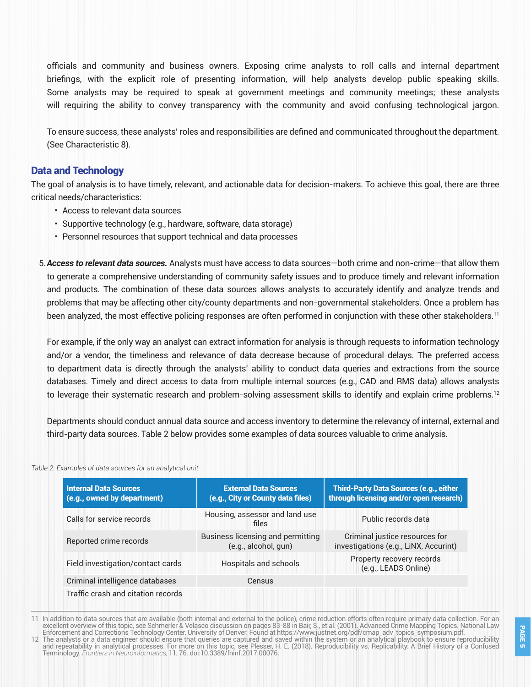officials and community and business owners. Exposing crime analysts to roll calls and internal department briefings, with the explicit role of presenting information, will help analysts develop public speaking skills. Some analysts may be required to speak at government meetings and community meetings; these analysts will requiring the ability to convey transparency with the community and avoid confusing technological jargon.

To ensure success, these analysts' roles and responsibilities are defined and communicated throughout the department. (See Characteristic 8).

### Data and Technology

The goal of analysis is to have timely, relevant, and actionable data for decision-makers. To achieve this goal, there are three critical needs/characteristics:

- Access to relevant data sources
- Supportive technology (e.g., hardware, software, data storage)
- Personnel resources that support technical and data processes
- 5.*Access to relevant data sources.* Analysts must have access to data sources—both crime and non-crime—that allow them to generate a comprehensive understanding of community safety issues and to produce timely and relevant information and products. The combination of these data sources allows analysts to accurately identify and analyze trends and problems that may be affecting other city/county departments and non-governmental stakeholders. Once a problem has been analyzed, the most effective policing responses are often performed in conjunction with these other stakeholders.<sup>11</sup>

For example, if the only way an analyst can extract information for analysis is through requests to information technology and/or a vendor, the timeliness and relevance of data decrease because of procedural delays. The preferred access to department data is directly through the analysts' ability to conduct data queries and extractions from the source databases. Timely and direct access to data from multiple internal sources (e.g., CAD and RMS data) allows analysts to leverage their systematic research and problem-solving assessment skills to identify and explain crime problems.<sup>12</sup>

Departments should conduct annual data source and access inventory to determine the relevancy of internal, external and third-party data sources. Table 2 below provides some examples of data sources valuable to crime analysis.

*Table 2. Examples of data sources for an analytical unit*

| <b>Internal Data Sources</b><br>(e.g., owned by department) | <b>External Data Sources</b><br>(e.g., City or County data files) | <b>Third-Party Data Sources (e.g., either</b><br>through licensing and/or open research) |
|-------------------------------------------------------------|-------------------------------------------------------------------|------------------------------------------------------------------------------------------|
| Calls for service records                                   | Housing, assessor and land use<br>files                           | Public records data                                                                      |
| Reported crime records                                      | Business licensing and permitting<br>(e.g., alcohol, gun)         | Criminal justice resources for<br>investigations (e.g., LiNX, Accurint)                  |
| Field investigation/contact cards                           | Hospitals and schools                                             | Property recovery records<br>(e.g., LEADS Online)                                        |
| Criminal intelligence databases                             | Census                                                            |                                                                                          |
| Traffic crash and citation records                          |                                                                   |                                                                                          |

11 In addition to data sources that are available (both internal and external to the police), crime reduction efforts often require primary data collection. For an excellent overview of this topic, see Schmerler & Velasco discussion on pages 83-88 in Bair, S., et al. (2001). Advanced Crime Mapping Topics. National Law Enforcement and Corrections Technology Center, University of Denver. Found at https://www.justnet.org/pdf/cmap\_adv\_topics\_symposium.pdf. 12 The analysts or a data engineer should ensure that queries are captured and saved within the system or an analytical playbook to ensure reproducibility

and repeatability in analytical processes. For more on this topic, see Plesser, H. E. (2018). Reproducibility vs. Replicability: A Brief History of a Confused Terminology. *Frontiers in Neuroinformatics*, 11, 76. doi:10.3389/fninf.2017.00076.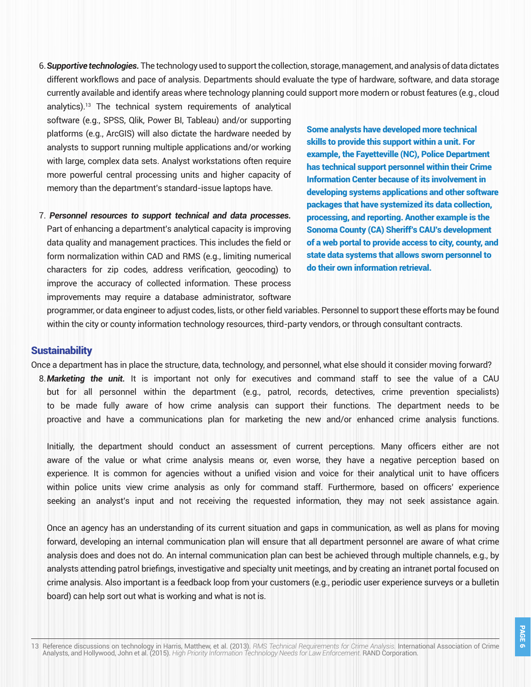6.*Supportive technologies.* The technology used to support the collection, storage, management, and analysis of data dictates different workflows and pace of analysis. Departments should evaluate the type of hardware, software, and data storage currently available and identify areas where technology planning could support more modern or robust features (e.g., cloud

analytics).13 The technical system requirements of analytical software (e.g., SPSS, Qlik, Power BI, Tableau) and/or supporting platforms (e.g., ArcGIS) will also dictate the hardware needed by analysts to support running multiple applications and/or working with large, complex data sets. Analyst workstations often require more powerful central processing units and higher capacity of memory than the department's standard-issue laptops have.

7. *Personnel resources to support technical and data processes.* Part of enhancing a department's analytical capacity is improving data quality and management practices. This includes the field or form normalization within CAD and RMS (e.g., limiting numerical characters for zip codes, address verification, geocoding) to improve the accuracy of collected information. These process improvements may require a database administrator, software

Some analysts have developed more technical skills to provide this support within a unit. For example, the Fayetteville (NC), Police Department has technical support personnel within their Crime Information Center because of its involvement in developing systems applications and other software packages that have systemized its data collection, processing, and reporting. Another example is the Sonoma County (CA) Sheriff's CAU's development of a web portal to provide access to city, county, and state data systems that allows sworn personnel to do their own information retrieval.

programmer, or data engineer to adjust codes, lists, or other field variables. Personnel to support these efforts may be found within the city or county information technology resources, third-party vendors, or through consultant contracts.

### **Sustainability**

Once a department has in place the structure, data, technology, and personnel, what else should it consider moving forward? 8.*Marketing the unit.* It is important not only for executives and command staff to see the value of a CAU but for all personnel within the department (e.g., patrol, records, detectives, crime prevention specialists) to be made fully aware of how crime analysis can support their functions. The department needs to be

Initially, the department should conduct an assessment of current perceptions. Many officers either are not aware of the value or what crime analysis means or, even worse, they have a negative perception based on experience. It is common for agencies without a unified vision and voice for their analytical unit to have officers within police units view crime analysis as only for command staff. Furthermore, based on officers' experience seeking an analyst's input and not receiving the requested information, they may not seek assistance again.

proactive and have a communications plan for marketing the new and/or enhanced crime analysis functions.

Once an agency has an understanding of its current situation and gaps in communication, as well as plans for moving forward, developing an internal communication plan will ensure that all department personnel are aware of what crime analysis does and does not do. An internal communication plan can best be achieved through multiple channels, e.g., by analysts attending patrol briefings, investigative and specialty unit meetings, and by creating an intranet portal focused on crime analysis. Also important is a feedback loop from your customers (e.g., periodic user experience surveys or a bulletin board) can help sort out what is working and what is not is.

13 Reference discussions on technology in Harris, Matthew, et al. (2013). *RMS Technical Requirements for Crime Analysis.* International Association of Crime Analysts, and Hollywood, John et al. (2015). *High Priority Information Technology Needs for Law Enforcement.* RAND Corporation.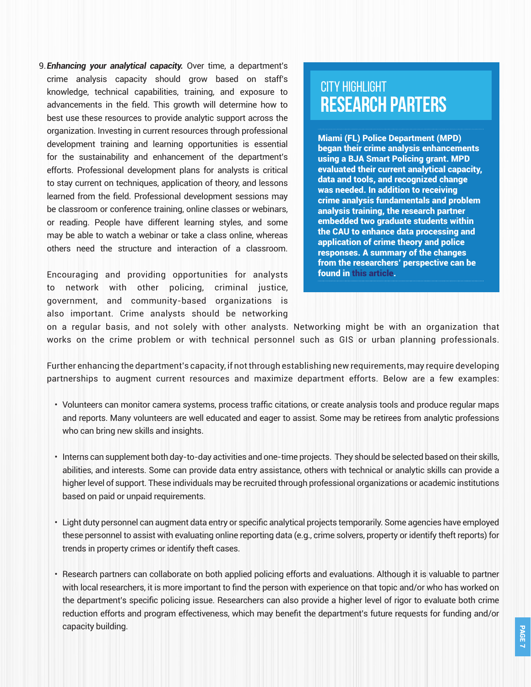9.*Enhancing your analytical capacity.* Over time, a department's crime analysis capacity should grow based on staff's knowledge, technical capabilities, training, and exposure to advancements in the field. This growth will determine how to best use these resources to provide analytic support across the organization. Investing in current resources through professional development training and learning opportunities is essential for the sustainability and enhancement of the department's efforts. Professional development plans for analysts is critical to stay current on techniques, application of theory, and lessons learned from the field. Professional development sessions may be classroom or conference training, online classes or webinars, or reading. People have different learning styles, and some may be able to watch a webinar or take a class online, whereas others need the structure and interaction of a classroom.

Encouraging and providing opportunities for analysts to network with other policing, criminal justice, government, and community-based organizations is also important. Crime analysts should be networking

### CITY HIGHLIGHT **RESEARCH PARTERS**

Miami (FL) Police Department (MPD) began their crime analysis enhancements using a BJA Smart Policing grant. MPD evaluated their current analytical capacity, data and tools, and recognized change was needed. In addition to receiving crime analysis fundamentals and problem analysis training, the research partner embedded two graduate students within the CAU to enhance data processing and application of crime theory and police responses. A summary of the changes from the researchers' perspective can be found in [this article.](https://academic.oup.com/policing/article-abstract/doi/10.1093/police/paz044/5532087)

on a regular basis, and not solely with other analysts. Networking might be with an organization that works on the crime problem or with technical personnel such as GIS or urban planning professionals.

Further enhancing the department's capacity, if not through establishing new requirements, may require developing partnerships to augment current resources and maximize department efforts. Below are a few examples:

- Volunteers can monitor camera systems, process traffic citations, or create analysis tools and produce regular maps and reports. Many volunteers are well educated and eager to assist. Some may be retirees from analytic professions who can bring new skills and insights.
- Interns can supplement both day-to-day activities and one-time projects. They should be selected based on their skills, abilities, and interests. Some can provide data entry assistance, others with technical or analytic skills can provide a higher level of support. These individuals may be recruited through professional organizations or academic institutions based on paid or unpaid requirements.
- Light duty personnel can augment data entry or specific analytical projects temporarily. Some agencies have employed these personnel to assist with evaluating online reporting data (e.g., crime solvers, property or identify theft reports) for trends in property crimes or identify theft cases.
- Research partners can collaborate on both applied policing efforts and evaluations. Although it is valuable to partner with local researchers, it is more important to find the person with experience on that topic and/or who has worked on the department's specific policing issue. Researchers can also provide a higher level of rigor to evaluate both crime reduction efforts and program effectiveness, which may benefit the department's future requests for funding and/or capacity building.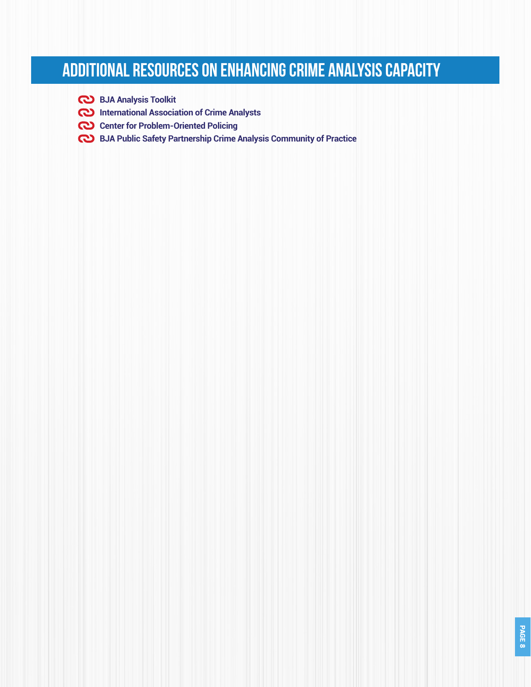# **Additional resources on enhancing crime analysis capacity**

- **[BJA Analysis Toolkit](https://it.ojp.gov/AT)**
- **[International Association of Crime Analysts](https://iaca.net/)**
- **[Center for Problem-Oriented Policing](https://popcenter.asu.edu/)**
- **[BJA Public Safety Partnership Crime Analysis Community of Practice](https://www.nationalpublicsafetypartnership.org/clearinghouse/Content/ResourceDocuments/CoPAppoachConceptPaper%2020180112%20Final%20508.pdf)**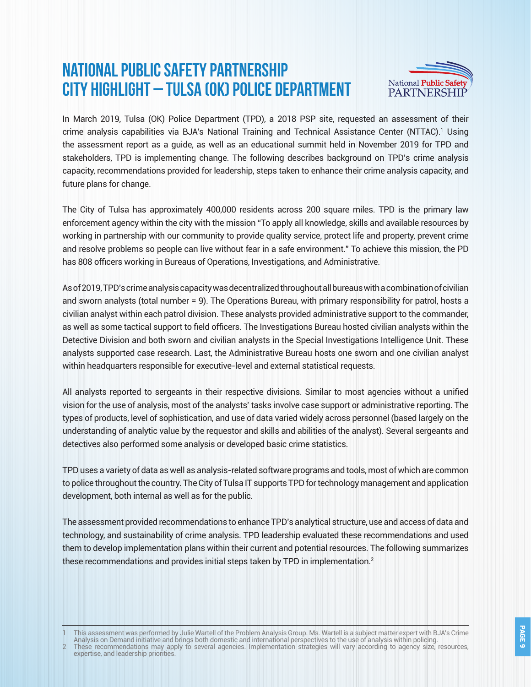### **National Public Safety Partnership City Highlight – Tulsa (OK) Police Department**



In March 2019, Tulsa (OK) Police Department (TPD), a 2018 PSP site, requested an assessment of their crime analysis capabilities via BJA's National Training and Technical Assistance Center (NTTAC).1 Using the assessment report as a guide, as well as an educational summit held in November 2019 for TPD and stakeholders, TPD is implementing change. The following describes background on TPD's crime analysis capacity, recommendations provided for leadership, steps taken to enhance their crime analysis capacity, and future plans for change.

The City of Tulsa has approximately 400,000 residents across 200 square miles. TPD is the primary law enforcement agency within the city with the mission "To apply all knowledge, skills and available resources by working in partnership with our community to provide quality service, protect life and property, prevent crime and resolve problems so people can live without fear in a safe environment." To achieve this mission, the PD has 808 officers working in Bureaus of Operations, Investigations, and Administrative.

As of 2019, TPD's crime analysis capacity was decentralized throughout all bureaus with a combination of civilian and sworn analysts (total number = 9). The Operations Bureau, with primary responsibility for patrol, hosts a civilian analyst within each patrol division. These analysts provided administrative support to the commander, as well as some tactical support to field officers. The Investigations Bureau hosted civilian analysts within the Detective Division and both sworn and civilian analysts in the Special Investigations Intelligence Unit. These analysts supported case research. Last, the Administrative Bureau hosts one sworn and one civilian analyst within headquarters responsible for executive-level and external statistical requests.

All analysts reported to sergeants in their respective divisions. Similar to most agencies without a unified vision for the use of analysis, most of the analysts' tasks involve case support or administrative reporting. The types of products, level of sophistication, and use of data varied widely across personnel (based largely on the understanding of analytic value by the requestor and skills and abilities of the analyst). Several sergeants and detectives also performed some analysis or developed basic crime statistics.

TPD uses a variety of data as well as analysis-related software programs and tools, most of which are common to police throughout the country. The City of Tulsa IT supports TPD for technology management and application development, both internal as well as for the public.

The assessment provided recommendations to enhance TPD's analytical structure, use and access of data and technology, and sustainability of crime analysis. TPD leadership evaluated these recommendations and used them to develop implementation plans within their current and potential resources. The following summarizes these recommendations and provides initial steps taken by TPD in implementation.<sup>2</sup>

This assessment was performed by Julie Wartell of the Problem Analysis Group. Ms. Wartell is a subiect matter expert with BJA's Crime Analysis on Demand initiative and brings both domestic and international perspectives to the use of analysis within policing.

2 These recommendations may apply to several agencies. Implementation strategies will vary according to agency size, resources, expertise, and leadership priorities.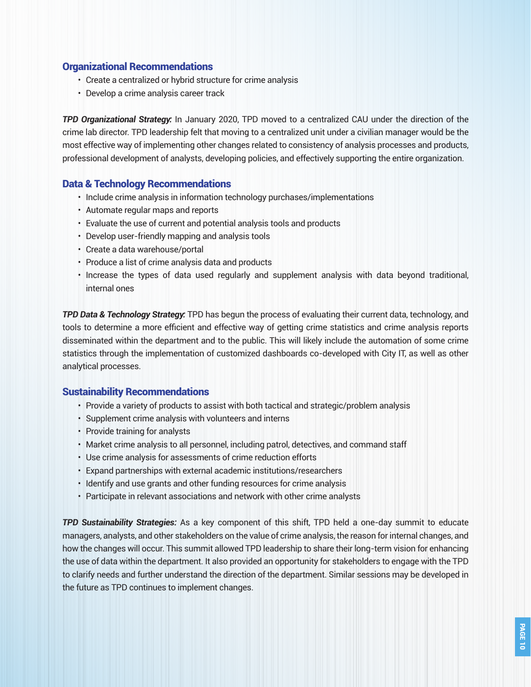### Organizational Recommendations

- Create a centralized or hybrid structure for crime analysis
- Develop a crime analysis career track

*TPD Organizational Strategy:* In January 2020, TPD moved to a centralized CAU under the direction of the crime lab director. TPD leadership felt that moving to a centralized unit under a civilian manager would be the most effective way of implementing other changes related to consistency of analysis processes and products, professional development of analysts, developing policies, and effectively supporting the entire organization.

### Data & Technology Recommendations

- Include crime analysis in information technology purchases/implementations
- Automate regular maps and reports
- Evaluate the use of current and potential analysis tools and products
- Develop user-friendly mapping and analysis tools
- Create a data warehouse/portal
- Produce a list of crime analysis data and products
- Increase the types of data used regularly and supplement analysis with data beyond traditional, internal ones

*TPD Data & Technology Strategy:* TPD has begun the process of evaluating their current data, technology, and tools to determine a more efficient and effective way of getting crime statistics and crime analysis reports disseminated within the department and to the public. This will likely include the automation of some crime statistics through the implementation of customized dashboards co-developed with City IT, as well as other analytical processes.

### Sustainability Recommendations

- Provide a variety of products to assist with both tactical and strategic/problem analysis
- Supplement crime analysis with volunteers and interns
- Provide training for analysts
- Market crime analysis to all personnel, including patrol, detectives, and command staff
- Use crime analysis for assessments of crime reduction efforts
- Expand partnerships with external academic institutions/researchers
- Identify and use grants and other funding resources for crime analysis
- Participate in relevant associations and network with other crime analysts

*TPD Sustainability Strategies:* As a key component of this shift, TPD held a one-day summit to educate managers, analysts, and other stakeholders on the value of crime analysis, the reason for internal changes, and how the changes will occur. This summit allowed TPD leadership to share their long-term vision for enhancing the use of data within the department. It also provided an opportunity for stakeholders to engage with the TPD to clarify needs and further understand the direction of the department. Similar sessions may be developed in the future as TPD continues to implement changes.